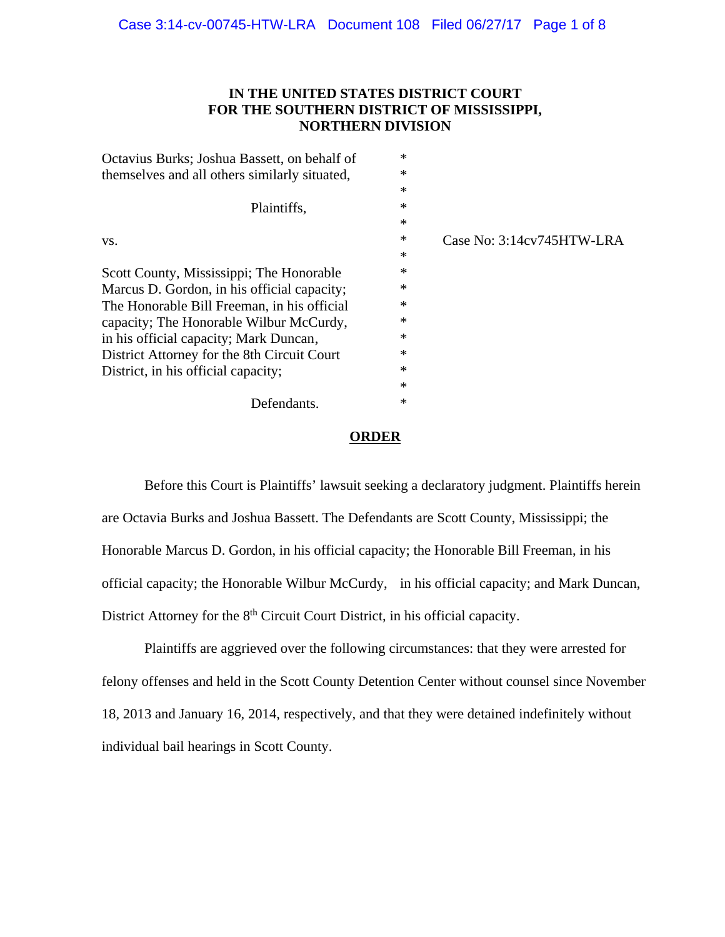# **IN THE UNITED STATES DISTRICT COURT FOR THE SOUTHERN DISTRICT OF MISSISSIPPI, NORTHERN DIVISION**

| Octavius Burks; Joshua Bassett, on behalf of  | $\ast$ |                           |
|-----------------------------------------------|--------|---------------------------|
| themselves and all others similarly situated, | ∗      |                           |
|                                               | ∗      |                           |
| Plaintiffs,                                   | *      |                           |
|                                               | $\ast$ |                           |
| VS.                                           | ∗      | Case No: 3:14cv745HTW-LRA |
|                                               | $\ast$ |                           |
| Scott County, Mississippi; The Honorable      | *      |                           |
| Marcus D. Gordon, in his official capacity;   | ∗      |                           |
| The Honorable Bill Freeman, in his official   | *      |                           |
| capacity; The Honorable Wilbur McCurdy,       | *      |                           |
| in his official capacity; Mark Duncan,        | *      |                           |
| District Attorney for the 8th Circuit Court   | *      |                           |
| District, in his official capacity;           | ∗      |                           |
|                                               | $\ast$ |                           |
| Defendants.                                   | $\ast$ |                           |

#### **ORDER**

 Before this Court is Plaintiffs' lawsuit seeking a declaratory judgment. Plaintiffs herein are Octavia Burks and Joshua Bassett. The Defendants are Scott County, Mississippi; the Honorable Marcus D. Gordon, in his official capacity; the Honorable Bill Freeman, in his official capacity; the Honorable Wilbur McCurdy, in his official capacity; and Mark Duncan, District Attorney for the 8<sup>th</sup> Circuit Court District, in his official capacity.

 Plaintiffs are aggrieved over the following circumstances: that they were arrested for felony offenses and held in the Scott County Detention Center without counsel since November 18, 2013 and January 16, 2014, respectively, and that they were detained indefinitely without individual bail hearings in Scott County.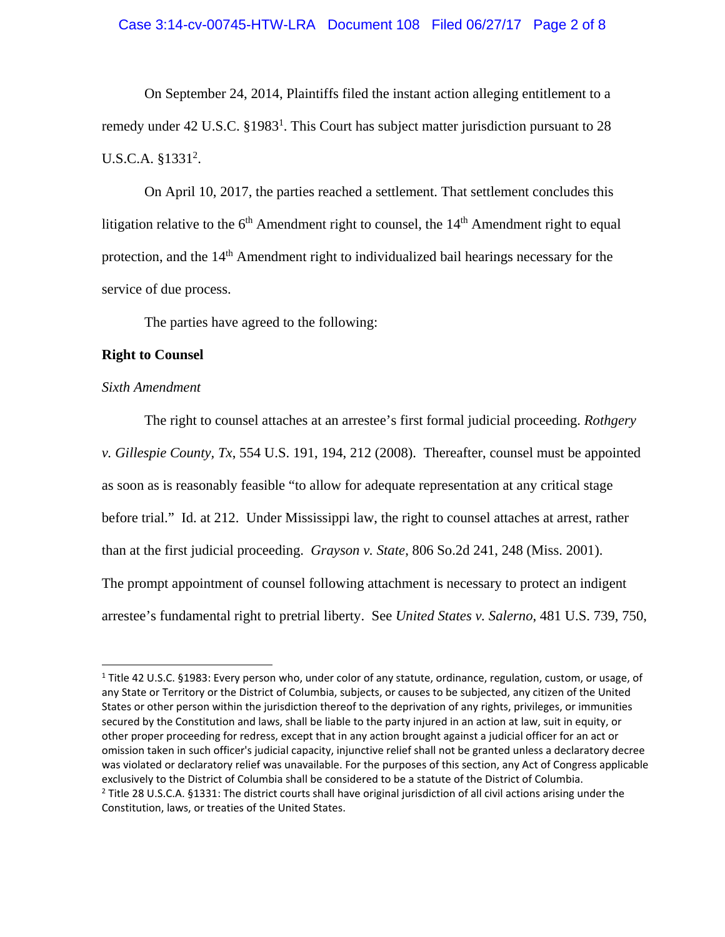# Case 3:14-cv-00745-HTW-LRA Document 108 Filed 06/27/17 Page 2 of 8

 On September 24, 2014, Plaintiffs filed the instant action alleging entitlement to a remedy under 42 U.S.C. §1983<sup>1</sup>. This Court has subject matter jurisdiction pursuant to 28  $U.S.C.A. §1331<sup>2</sup>.$ 

 On April 10, 2017, the parties reached a settlement. That settlement concludes this litigation relative to the  $6<sup>th</sup>$  Amendment right to counsel, the  $14<sup>th</sup>$  Amendment right to equal protection, and the 14<sup>th</sup> Amendment right to individualized bail hearings necessary for the service of due process.

The parties have agreed to the following:

# **Right to Counsel**

## *Sixth Amendment*

 $\overline{a}$ 

 The right to counsel attaches at an arrestee's first formal judicial proceeding. *Rothgery v. Gillespie County, Tx*, 554 U.S. 191, 194, 212 (2008). Thereafter, counsel must be appointed as soon as is reasonably feasible "to allow for adequate representation at any critical stage before trial." Id. at 212. Under Mississippi law, the right to counsel attaches at arrest, rather than at the first judicial proceeding. *Grayson v. State*, 806 So.2d 241, 248 (Miss. 2001). The prompt appointment of counsel following attachment is necessary to protect an indigent arrestee's fundamental right to pretrial liberty. See *United States v. Salerno*, 481 U.S. 739, 750,

<sup>1</sup> Title 42 U.S.C. §1983: Every person who, under color of any statute, ordinance, regulation, custom, or usage, of any State or Territory or the District of Columbia, subjects, or causes to be subjected, any citizen of the United States or other person within the jurisdiction thereof to the deprivation of any rights, privileges, or immunities secured by the Constitution and laws, shall be liable to the party injured in an action at law, suit in equity, or other proper proceeding for redress, except that in any action brought against a judicial officer for an act or omission taken in such officer's judicial capacity, injunctive relief shall not be granted unless a declaratory decree was violated or declaratory relief was unavailable. For the purposes of this section, any Act of Congress applicable exclusively to the District of Columbia shall be considered to be a statute of the District of Columbia.  $2$  Title 28 U.S.C.A. §1331: The district courts shall have original jurisdiction of all civil actions arising under the Constitution, laws, or treaties of the United States.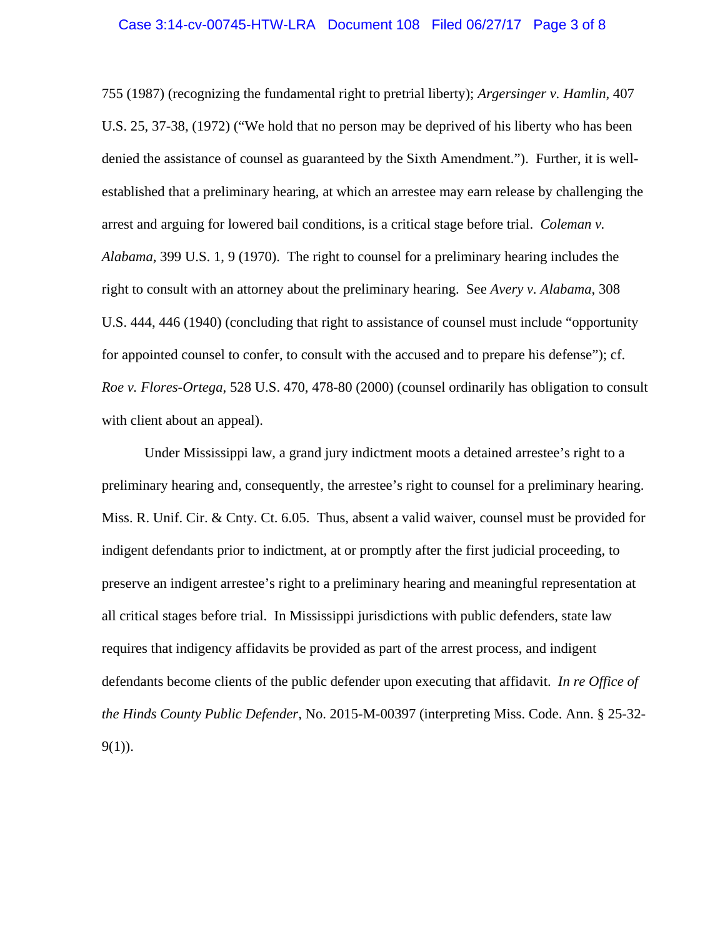#### Case 3:14-cv-00745-HTW-LRA Document 108 Filed 06/27/17 Page 3 of 8

755 (1987) (recognizing the fundamental right to pretrial liberty); *Argersinger v. Hamlin*, 407 U.S. 25, 37-38, (1972) ("We hold that no person may be deprived of his liberty who has been denied the assistance of counsel as guaranteed by the Sixth Amendment."). Further, it is wellestablished that a preliminary hearing, at which an arrestee may earn release by challenging the arrest and arguing for lowered bail conditions, is a critical stage before trial. *Coleman v. Alabama*, 399 U.S. 1, 9 (1970). The right to counsel for a preliminary hearing includes the right to consult with an attorney about the preliminary hearing. See *Avery v. Alabama*, 308 U.S. 444, 446 (1940) (concluding that right to assistance of counsel must include "opportunity for appointed counsel to confer, to consult with the accused and to prepare his defense"); cf. *Roe v. Flores-Ortega*, 528 U.S. 470, 478-80 (2000) (counsel ordinarily has obligation to consult with client about an appeal).

 Under Mississippi law, a grand jury indictment moots a detained arrestee's right to a preliminary hearing and, consequently, the arrestee's right to counsel for a preliminary hearing. Miss. R. Unif. Cir. & Cnty. Ct. 6.05. Thus, absent a valid waiver, counsel must be provided for indigent defendants prior to indictment, at or promptly after the first judicial proceeding, to preserve an indigent arrestee's right to a preliminary hearing and meaningful representation at all critical stages before trial. In Mississippi jurisdictions with public defenders, state law requires that indigency affidavits be provided as part of the arrest process, and indigent defendants become clients of the public defender upon executing that affidavit. *In re Office of the Hinds County Public Defender*, No. 2015-M-00397 (interpreting Miss. Code. Ann. § 25-32- 9(1)).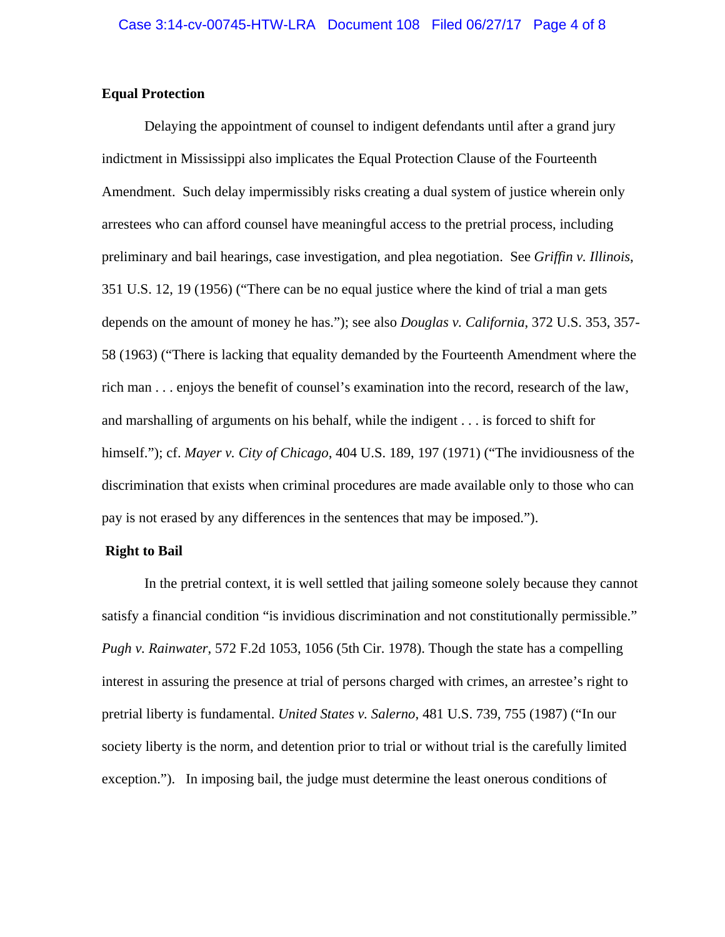## **Equal Protection**

 Delaying the appointment of counsel to indigent defendants until after a grand jury indictment in Mississippi also implicates the Equal Protection Clause of the Fourteenth Amendment. Such delay impermissibly risks creating a dual system of justice wherein only arrestees who can afford counsel have meaningful access to the pretrial process, including preliminary and bail hearings, case investigation, and plea negotiation. See *Griffin v. Illinois*, 351 U.S. 12, 19 (1956) ("There can be no equal justice where the kind of trial a man gets depends on the amount of money he has."); see also *Douglas v. California*, 372 U.S. 353, 357- 58 (1963) ("There is lacking that equality demanded by the Fourteenth Amendment where the rich man . . . enjoys the benefit of counsel's examination into the record, research of the law, and marshalling of arguments on his behalf, while the indigent . . . is forced to shift for himself."); cf. *Mayer v. City of Chicago*, 404 U.S. 189, 197 (1971) ("The invidiousness of the discrimination that exists when criminal procedures are made available only to those who can pay is not erased by any differences in the sentences that may be imposed.").

#### **Right to Bail**

 In the pretrial context, it is well settled that jailing someone solely because they cannot satisfy a financial condition "is invidious discrimination and not constitutionally permissible." *Pugh v. Rainwater*, 572 F.2d 1053, 1056 (5th Cir. 1978). Though the state has a compelling interest in assuring the presence at trial of persons charged with crimes, an arrestee's right to pretrial liberty is fundamental. *United States v. Salerno*, 481 U.S. 739, 755 (1987) ("In our society liberty is the norm, and detention prior to trial or without trial is the carefully limited exception."). In imposing bail, the judge must determine the least onerous conditions of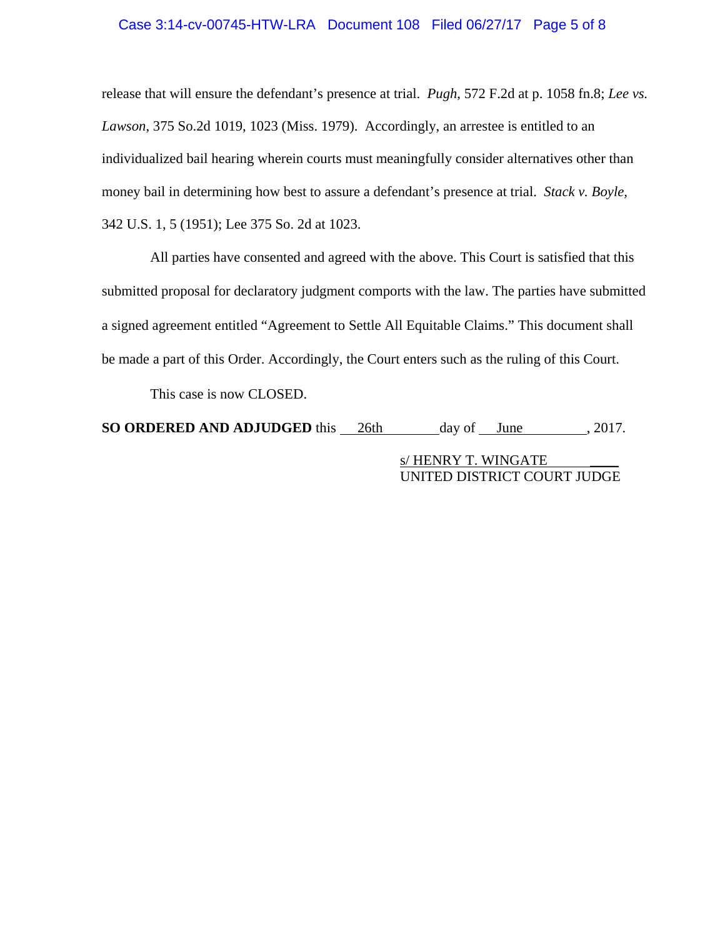## Case 3:14-cv-00745-HTW-LRA Document 108 Filed 06/27/17 Page 5 of 8

release that will ensure the defendant's presence at trial. *Pugh*, 572 F.2d at p. 1058 fn.8; *Lee vs. Lawson*, 375 So.2d 1019, 1023 (Miss. 1979). Accordingly, an arrestee is entitled to an individualized bail hearing wherein courts must meaningfully consider alternatives other than money bail in determining how best to assure a defendant's presence at trial. *Stack v. Boyle,* 342 U.S. 1, 5 (1951); Lee 375 So. 2d at 1023.

 All parties have consented and agreed with the above. This Court is satisfied that this submitted proposal for declaratory judgment comports with the law. The parties have submitted a signed agreement entitled "Agreement to Settle All Equitable Claims." This document shall be made a part of this Order. Accordingly, the Court enters such as the ruling of this Court.

This case is now CLOSED.

**SO ORDERED AND ADJUDGED** this 26th day of June , 2017.

s/HENRY T. WINGATE UNITED DISTRICT COURT JUDGE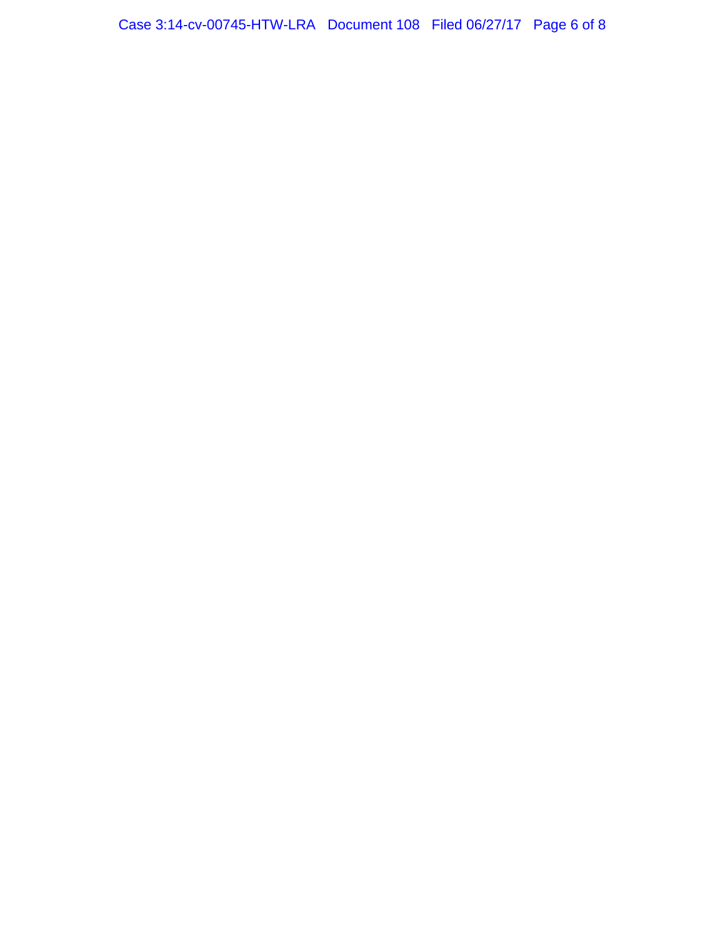Case 3:14-cv-00745-HTW-LRA Document 108 Filed 06/27/17 Page 6 of 8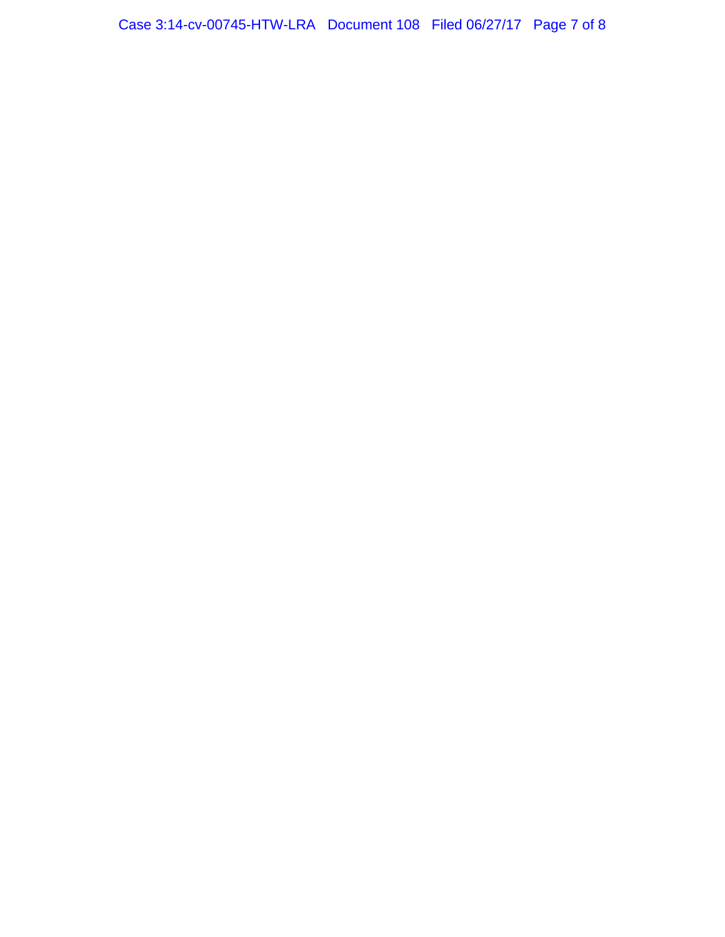Case 3:14-cv-00745-HTW-LRA Document 108 Filed 06/27/17 Page 7 of 8